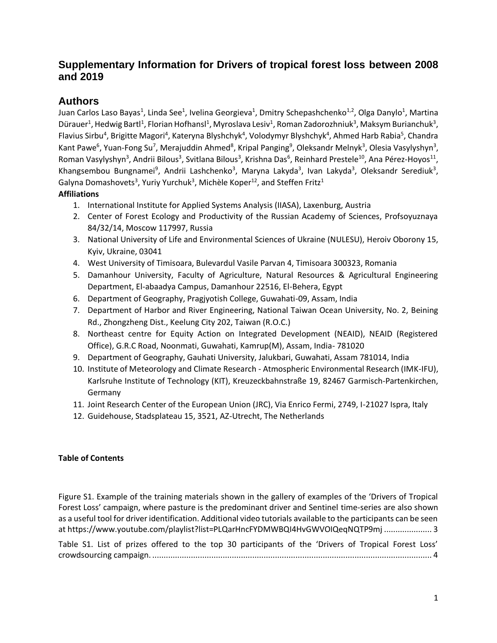## **Supplementary Information for Drivers of tropical forest loss between 2008 and 2019**

## **Authors**

Juan Carlos Laso Bayas<sup>1</sup>, Linda See<sup>1</sup>, Ivelina Georgieva<sup>1</sup>, Dmitry Schepashchenko<sup>1,2</sup>, Olga Danylo<sup>1</sup>, Martina Dürauer<sup>1</sup>, Hedwig Bartl<sup>1</sup>, Florian Hofhansl<sup>1</sup>, Myroslava Lesiv<sup>1</sup>, Roman Zadorozhniuk<sup>3</sup>, Maksym Burianchuk<sup>3</sup>, Flavius Sirbu<sup>4</sup>, Brigitte Magori<sup>4</sup>, Kateryna Blyshchyk<sup>4</sup>, Volodymyr Blyshchyk<sup>4</sup>, Ahmed Harb Rabia<sup>5</sup>, Chandra Kant Pawe<sup>6</sup>, Yuan-Fong Su<sup>7</sup>, Merajuddin Ahmed<sup>8</sup>, Kripal Panging<sup>9</sup>, Oleksandr Melnyk<sup>3</sup>, Olesia Vasylyshyn<sup>3</sup>, Roman Vasylyshyn<sup>3</sup>, Andrii Bilous<sup>3</sup>, Svitlana Bilous<sup>3</sup>, Krishna Das<sup>6</sup>, Reinhard Prestele<sup>10</sup>, Ana Pérez-Hoyos<sup>11</sup>, Khangsembou Bungnamei<sup>9</sup>, Andrii Lashchenko<sup>3</sup>, Maryna Lakyda<sup>3</sup>, Ivan Lakyda<sup>3</sup>, Oleksandr Serediuk<sup>3</sup>, Galyna Domashovets<sup>3</sup>, Yuriy Yurchuk<sup>3</sup>, Michèle Koper<sup>12</sup>, and Steffen Fritz<sup>1</sup>

## **Affiliations**

- 1. International Institute for Applied Systems Analysis (IIASA), Laxenburg, Austria
- 2. Center of Forest Ecology and Productivity of the Russian Academy of Sciences, Profsoyuznaya 84/32/14, Moscow 117997, Russia
- 3. National University of Life and Environmental Sciences of Ukraine (NULESU), Heroiv Oborony 15, Kyiv, Ukraine, 03041
- 4. West University of Timisoara, Bulevardul Vasile Parvan 4, Timisoara 300323, Romania
- 5. Damanhour University, Faculty of Agriculture, Natural Resources & Agricultural Engineering Department, El-abaadya Campus, Damanhour 22516, El-Behera, Egypt
- 6. Department of Geography, Pragjyotish College, Guwahati-09, Assam, India
- 7. Department of Harbor and River Engineering, National Taiwan Ocean University, No. 2, Beining Rd., Zhongzheng Dist., Keelung City 202, Taiwan (R.O.C.)
- 8. Northeast centre for Equity Action on Integrated Development (NEAID), NEAID (Registered Office), G.R.C Road, Noonmati, Guwahati, Kamrup(M), Assam, India- 781020
- 9. Department of Geography, Gauhati University, Jalukbari, Guwahati, Assam 781014, India
- 10. Institute of Meteorology and Climate Research Atmospheric Environmental Research (IMK-IFU), Karlsruhe Institute of Technology (KIT), Kreuzeckbahnstraße 19, 82467 Garmisch-Partenkirchen, Germany
- 11. Joint Research Center of the European Union (JRC), Via Enrico Fermi, 2749, I-21027 Ispra, Italy
- 12. Guidehouse, Stadsplateau 15, 3521, AZ-Utrecht, The Netherlands

## **Table of Contents**

[Figure S1. Example of the training materials shown in the gallery of examples of the 'Drivers of Tropical](#page-2-0)  [Forest Loss' campaign, where pasture is the predominant driver and Sentinel](#page-2-0) time-series are also shown [as a useful tool for driver identification. Additional video tutorials available to the participants can be seen](#page-2-0)  [at https://www.youtube.com/playlist?list=PLQarHncFYDMWBQI4HvGWVOIQeqNQTP9mj](#page-2-0) ..................... 3

[Table S1. List of prizes offered to the top 30 participants of the 'Drivers of Tropical Forest Loss'](#page-3-0)  crowdsourcing campaign. [...........................................................................................................................](#page-3-0) 4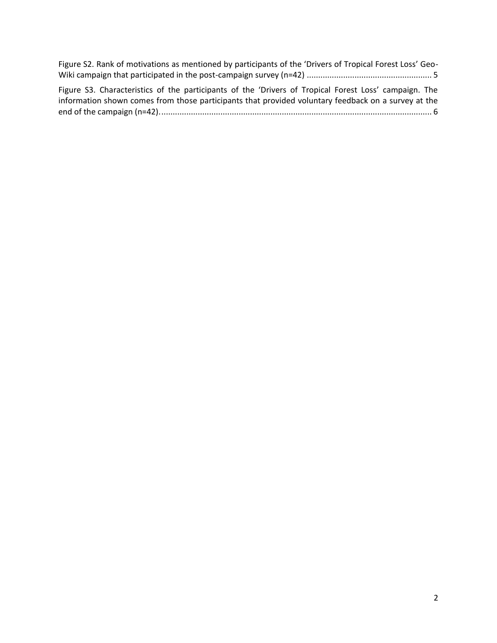| Figure S2. Rank of motivations as mentioned by participants of the 'Drivers of Tropical Forest Loss' Geo-                                                                                                    |  |
|--------------------------------------------------------------------------------------------------------------------------------------------------------------------------------------------------------------|--|
|                                                                                                                                                                                                              |  |
| Figure S3. Characteristics of the participants of the 'Drivers of Tropical Forest Loss' campaign. The<br>information shown comes from those participants that provided voluntary feedback on a survey at the |  |
|                                                                                                                                                                                                              |  |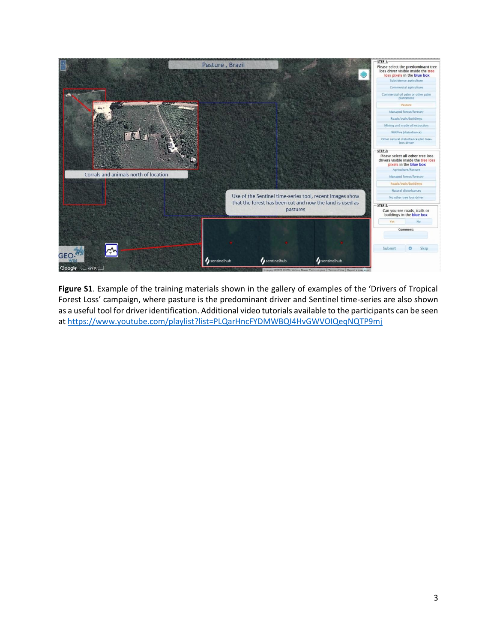

<span id="page-2-0"></span>**Figure S1**. Example of the training materials shown in the gallery of examples of the 'Drivers of Tropical Forest Loss' campaign, where pasture is the predominant driver and Sentinel time-series are also shown as a useful tool for driver identification. Additional video tutorials available to the participants can be seen at<https://www.youtube.com/playlist?list=PLQarHncFYDMWBQI4HvGWVOIQeqNQTP9mj>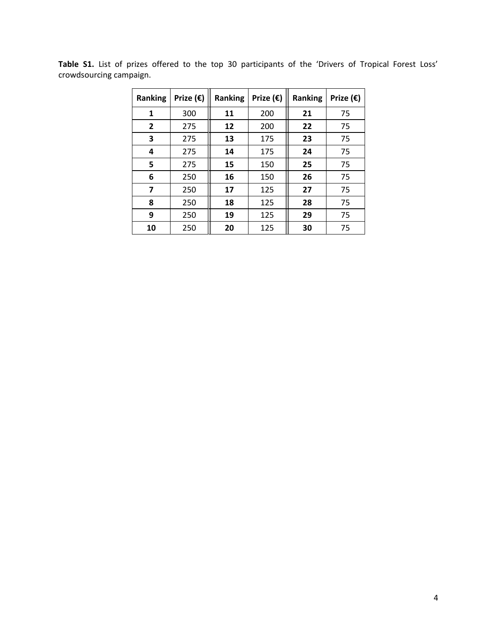| <b>Ranking</b>          | Prize $(\epsilon)$ | <b>Ranking</b> | Prize (€) | <b>Ranking</b> | Prize $(\epsilon)$ |
|-------------------------|--------------------|----------------|-----------|----------------|--------------------|
| 1                       | 300                | 11             | 200       | 21             | 75                 |
| $\mathbf{2}$            | 275                | 12             | 200       | 22             | 75                 |
| 3                       | 275                | 13             | 175       | 23             | 75                 |
| 4                       | 275                | 14             | 175       | 24             | 75                 |
| 5                       | 275                | 15             | 150       | 25             | 75                 |
| 6                       | 250                | 16             | 150       | 26             | 75                 |
| $\overline{\mathbf{z}}$ | 250                | 17             | 125       | 27             | 75                 |
| 8                       | 250                | 18             | 125       | 28             | 75                 |
| 9                       | 250                | 19             | 125       | 29             | 75                 |
| 10                      | 250                | 20             | 125       | 30             | 75                 |

<span id="page-3-0"></span>**Table S1.** List of prizes offered to the top 30 participants of the 'Drivers of Tropical Forest Loss' crowdsourcing campaign.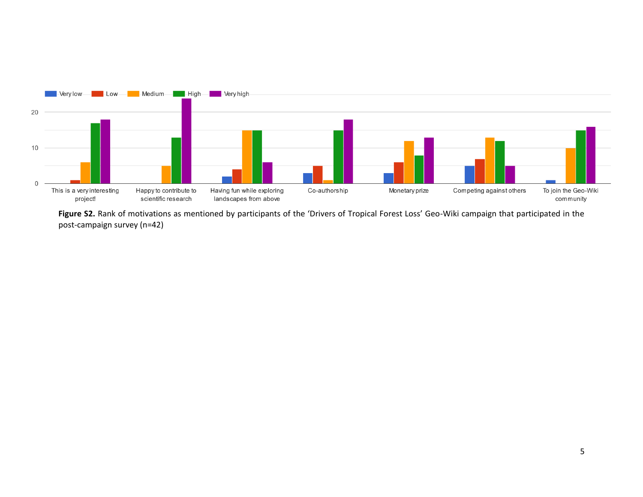

<span id="page-4-0"></span>Figure S2. Rank of motivations as mentioned by participants of the 'Drivers of Tropical Forest Loss' Geo-Wiki campaign that participated in the post-campaign survey (n=42)